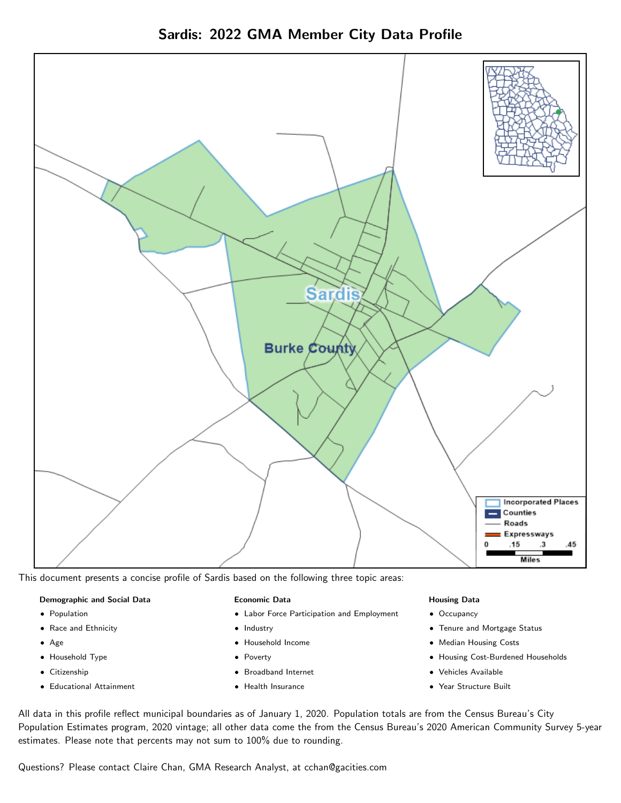Sardis: 2022 GMA Member City Data Profile



This document presents a concise profile of Sardis based on the following three topic areas:

### Demographic and Social Data

- **•** Population
- Race and Ethnicity
- Age
- Household Type
- **Citizenship**
- Educational Attainment

### Economic Data

- Labor Force Participation and Employment
- Industry
- Household Income
- Poverty
- Broadband Internet
- Health Insurance

### Housing Data

- Occupancy
- Tenure and Mortgage Status
- Median Housing Costs
- Housing Cost-Burdened Households
- Vehicles Available
- Year Structure Built

All data in this profile reflect municipal boundaries as of January 1, 2020. Population totals are from the Census Bureau's City Population Estimates program, 2020 vintage; all other data come the from the Census Bureau's 2020 American Community Survey 5-year estimates. Please note that percents may not sum to 100% due to rounding.

Questions? Please contact Claire Chan, GMA Research Analyst, at [cchan@gacities.com.](mailto:cchan@gacities.com)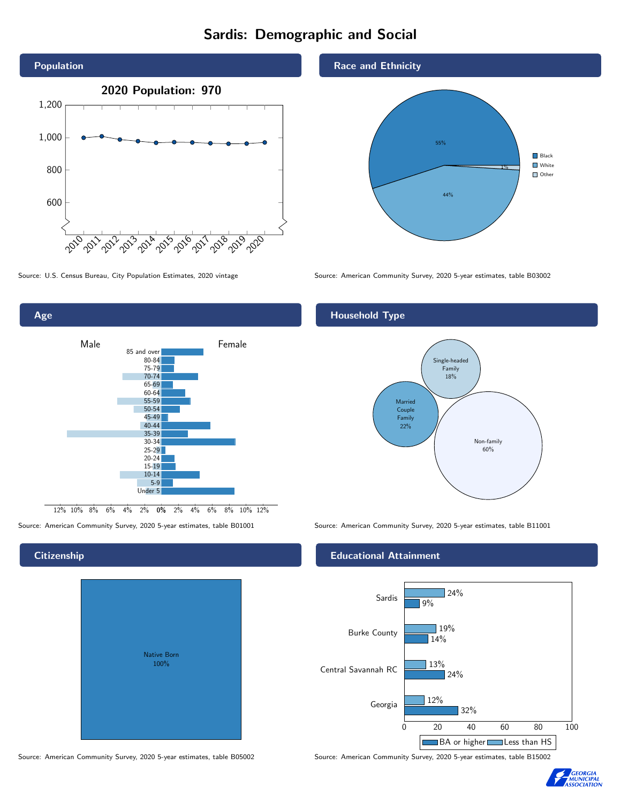# Sardis: Demographic and Social





## **Citizenship**

| <b>Native Born</b><br>100% |  |
|----------------------------|--|
|                            |  |

Race and Ethnicity



Source: U.S. Census Bureau, City Population Estimates, 2020 vintage Source: American Community Survey, 2020 5-year estimates, table B03002

# Household Type



Source: American Community Survey, 2020 5-year estimates, table B01001 Source: American Community Survey, 2020 5-year estimates, table B11001

## Educational Attainment



Source: American Community Survey, 2020 5-year estimates, table B05002 Source: American Community Survey, 2020 5-year estimates, table B15002

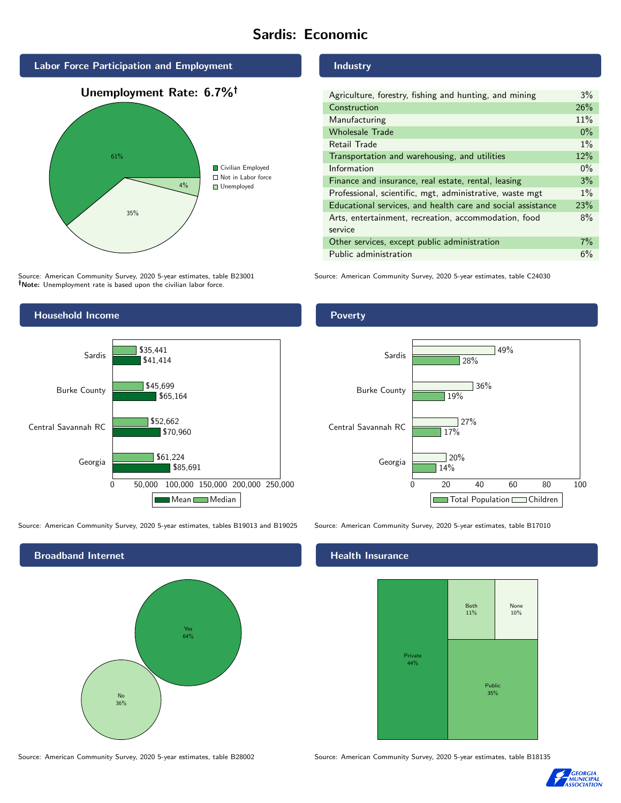# Sardis: Economic







Source: American Community Survey, 2020 5-year estimates, table B23001 Note: Unemployment rate is based upon the civilian labor force.



Source: American Community Survey, 2020 5-year estimates, tables B19013 and B19025 Source: American Community Survey, 2020 5-year estimates, table B17010

Broadband Internet No 36% Yes 64%

### Industry

| Agriculture, forestry, fishing and hunting, and mining      | 3%    |
|-------------------------------------------------------------|-------|
| Construction                                                | 26%   |
| Manufacturing                                               | 11%   |
| <b>Wholesale Trade</b>                                      | $0\%$ |
| Retail Trade                                                | $1\%$ |
| Transportation and warehousing, and utilities               |       |
| Information                                                 | $0\%$ |
| Finance and insurance, real estate, rental, leasing         |       |
| Professional, scientific, mgt, administrative, waste mgt    |       |
| Educational services, and health care and social assistance |       |
| Arts, entertainment, recreation, accommodation, food        |       |
| service                                                     |       |
| Other services, except public administration                |       |
| Public administration                                       |       |

Source: American Community Survey, 2020 5-year estimates, table C24030

# Poverty



## Health Insurance



Source: American Community Survey, 2020 5-year estimates, table B28002 Source: American Community Survey, 2020 5-year estimates, table B18135